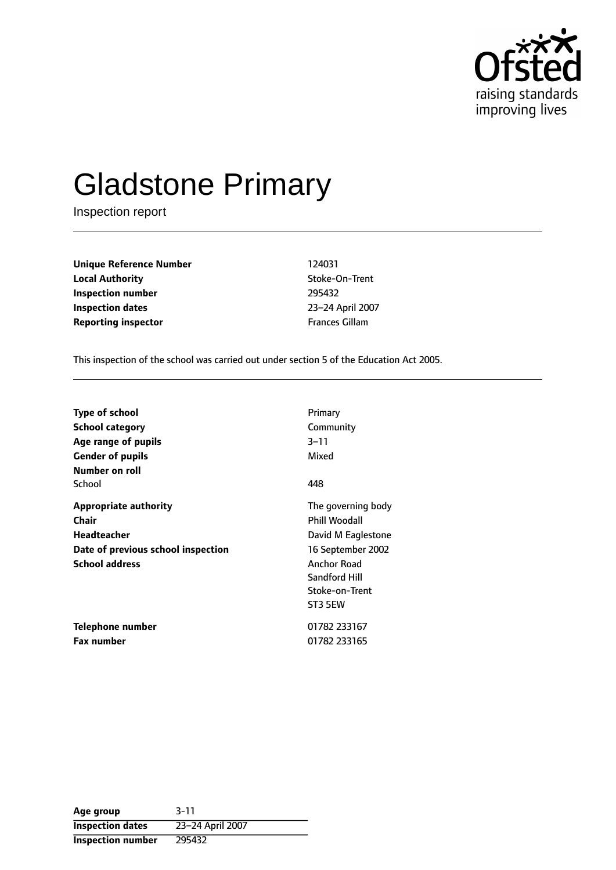

# Gladstone Primary

Inspection report

**Unique Reference Number** 124031 **Local Authority Contains a Local Authority** Stoke-On-Trent **Inspection number** 295432 **Inspection dates** 23-24 April 2007 **Reporting inspector Frances Gillam** 

This inspection of the school was carried out under section 5 of the Education Act 2005.

| <b>Type of school</b>                                                                                               | Primary                                                                                                                                            |
|---------------------------------------------------------------------------------------------------------------------|----------------------------------------------------------------------------------------------------------------------------------------------------|
| School category                                                                                                     | Community                                                                                                                                          |
| Age range of pupils                                                                                                 | $3 - 11$                                                                                                                                           |
| <b>Gender of pupils</b>                                                                                             | Mixed                                                                                                                                              |
| Number on roll<br>School                                                                                            | 448                                                                                                                                                |
| <b>Appropriate authority</b><br>Chair<br>Headteacher<br>Date of previous school inspection<br><b>School address</b> | The governing body<br><b>Phill Woodall</b><br>David M Eaglestone<br>16 September 2002<br>Anchor Road<br>Sandford Hill<br>Stoke-on-Trent<br>ST3 5EW |
| Telephone number                                                                                                    | 01782 233167                                                                                                                                       |
| <b>Fax number</b>                                                                                                   | 01782 233165                                                                                                                                       |

**Age group** 3-11 **Inspection dates** 23-24 April 2007 **Inspection number** 295432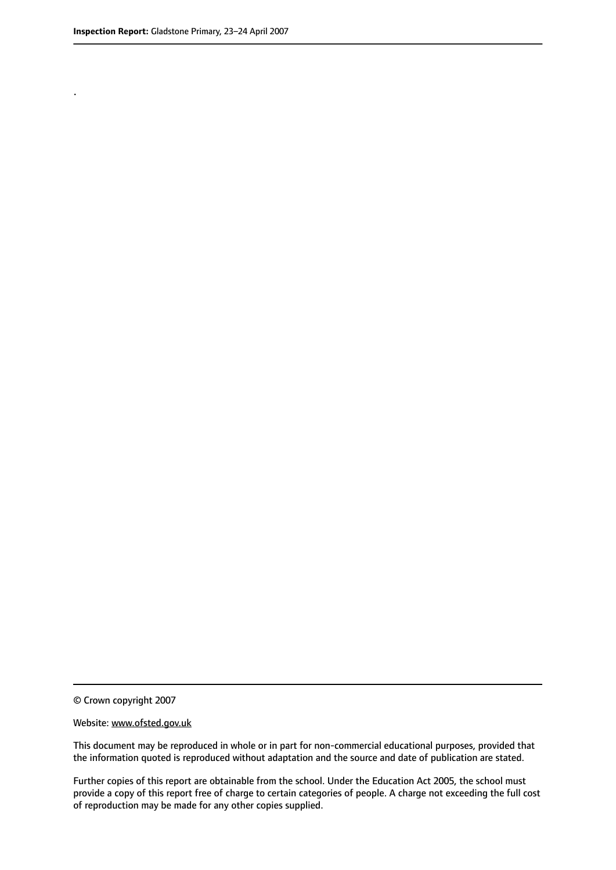.

© Crown copyright 2007

#### Website: www.ofsted.gov.uk

This document may be reproduced in whole or in part for non-commercial educational purposes, provided that the information quoted is reproduced without adaptation and the source and date of publication are stated.

Further copies of this report are obtainable from the school. Under the Education Act 2005, the school must provide a copy of this report free of charge to certain categories of people. A charge not exceeding the full cost of reproduction may be made for any other copies supplied.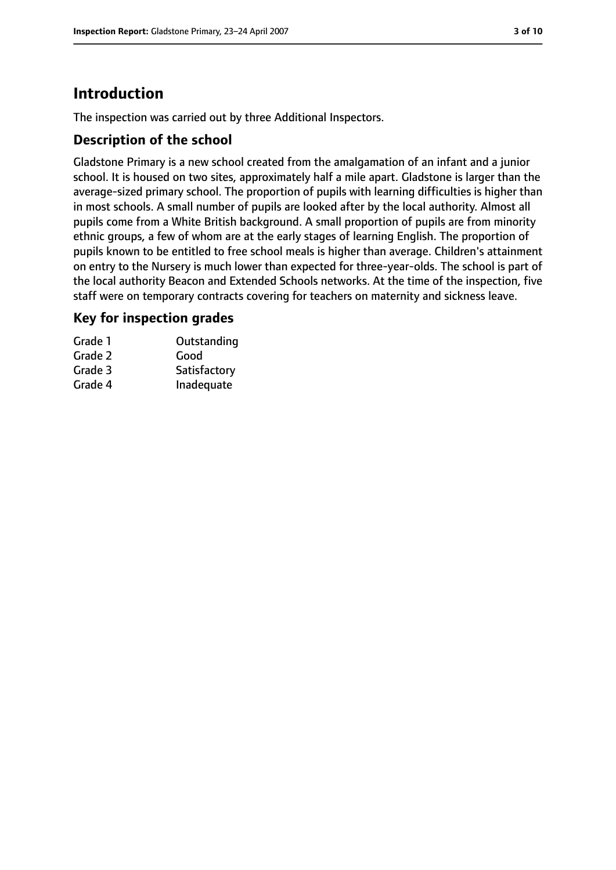# **Introduction**

The inspection was carried out by three Additional Inspectors.

## **Description of the school**

Gladstone Primary is a new school created from the amalgamation of an infant and a junior school. It is housed on two sites, approximately half a mile apart. Gladstone is larger than the average-sized primary school. The proportion of pupils with learning difficulties is higher than in most schools. A small number of pupils are looked after by the local authority. Almost all pupils come from a White British background. A small proportion of pupils are from minority ethnic groups, a few of whom are at the early stages of learning English. The proportion of pupils known to be entitled to free school meals is higher than average. Children's attainment on entry to the Nursery is much lower than expected for three-year-olds. The school is part of the local authority Beacon and Extended Schools networks. At the time of the inspection, five staff were on temporary contracts covering for teachers on maternity and sickness leave.

## **Key for inspection grades**

| Grade 1 | Outstanding  |
|---------|--------------|
| Grade 2 | Good         |
| Grade 3 | Satisfactory |
| Grade 4 | Inadequate   |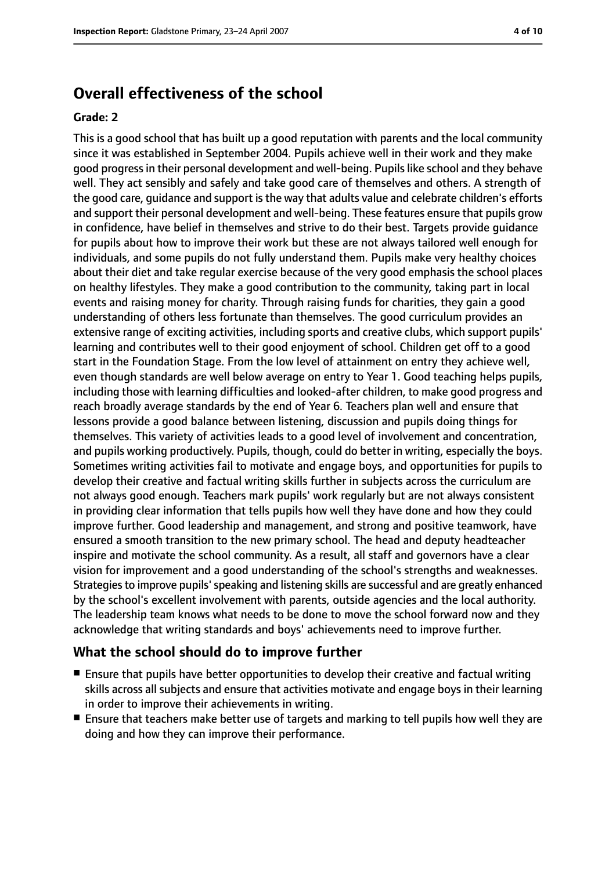# **Overall effectiveness of the school**

#### **Grade: 2**

This is a good school that has built up a good reputation with parents and the local community since it was established in September 2004. Pupils achieve well in their work and they make good progressin their personal development and well-being. Pupilslike school and they behave well. They act sensibly and safely and take good care of themselves and others. A strength of the good care, guidance and support isthe way that adults value and celebrate children's efforts and support their personal development and well-being. These features ensure that pupils grow in confidence, have belief in themselves and strive to do their best. Targets provide guidance for pupils about how to improve their work but these are not always tailored well enough for individuals, and some pupils do not fully understand them. Pupils make very healthy choices about their diet and take regular exercise because of the very good emphasis the school places on healthy lifestyles. They make a good contribution to the community, taking part in local events and raising money for charity. Through raising funds for charities, they gain a good understanding of others less fortunate than themselves. The good curriculum provides an extensive range of exciting activities, including sports and creative clubs, which support pupils' learning and contributes well to their good enjoyment of school. Children get off to a good start in the Foundation Stage. From the low level of attainment on entry they achieve well, even though standards are well below average on entry to Year 1. Good teaching helps pupils, including those with learning difficulties and looked-after children, to make good progress and reach broadly average standards by the end of Year 6. Teachers plan well and ensure that lessons provide a good balance between listening, discussion and pupils doing things for themselves. This variety of activities leads to a good level of involvement and concentration, and pupils working productively. Pupils, though, could do better in writing, especially the boys. Sometimes writing activities fail to motivate and engage boys, and opportunities for pupils to develop their creative and factual writing skills further in subjects across the curriculum are not always good enough. Teachers mark pupils' work regularly but are not always consistent in providing clear information that tells pupils how well they have done and how they could improve further. Good leadership and management, and strong and positive teamwork, have ensured a smooth transition to the new primary school. The head and deputy headteacher inspire and motivate the school community. As a result, all staff and governors have a clear vision for improvement and a good understanding of the school's strengths and weaknesses. Strategies to improve pupils' speaking and listening skills are successful and are greatly enhanced by the school's excellent involvement with parents, outside agencies and the local authority. The leadership team knows what needs to be done to move the school forward now and they acknowledge that writing standards and boys' achievements need to improve further.

#### **What the school should do to improve further**

- Ensure that pupils have better opportunities to develop their creative and factual writing skills across all subjects and ensure that activities motivate and engage boys in their learning in order to improve their achievements in writing.
- Ensure that teachers make better use of targets and marking to tell pupils how well they are doing and how they can improve their performance.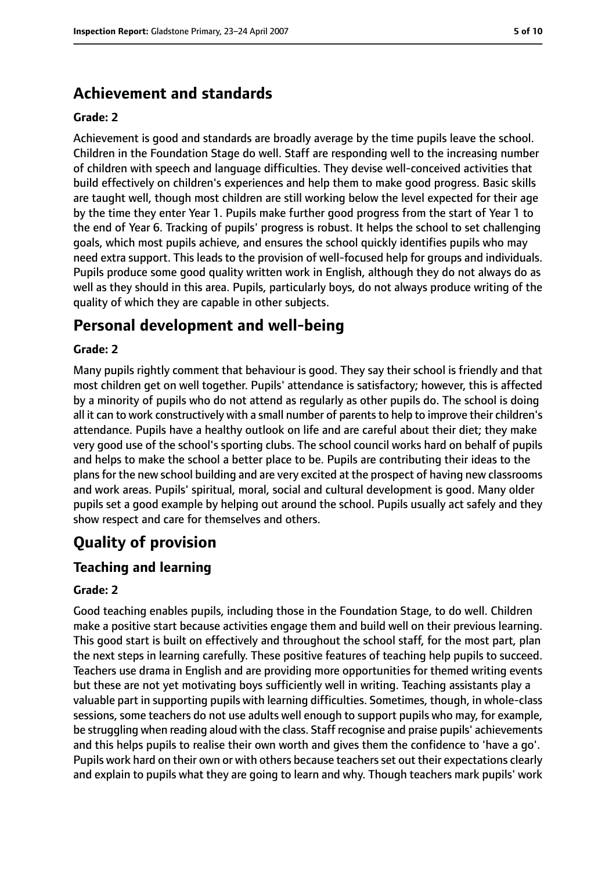# **Achievement and standards**

#### **Grade: 2**

Achievement is good and standards are broadly average by the time pupils leave the school. Children in the Foundation Stage do well. Staff are responding well to the increasing number of children with speech and language difficulties. They devise well-conceived activities that build effectively on children's experiences and help them to make good progress. Basic skills are taught well, though most children are still working below the level expected for their age by the time they enter Year 1. Pupils make further good progress from the start of Year 1 to the end of Year 6. Tracking of pupils' progress is robust. It helps the school to set challenging goals, which most pupils achieve, and ensures the school quickly identifies pupils who may need extra support. This leads to the provision of well-focused help for groups and individuals. Pupils produce some good quality written work in English, although they do not always do as well as they should in this area. Pupils, particularly boys, do not always produce writing of the quality of which they are capable in other subjects.

# **Personal development and well-being**

#### **Grade: 2**

Many pupils rightly comment that behaviour is good. They say their school is friendly and that most children get on well together. Pupils' attendance is satisfactory; however, this is affected by a minority of pupils who do not attend as regularly as other pupils do. The school is doing all it can to work constructively with a small number of parents to help to improve their children's attendance. Pupils have a healthy outlook on life and are careful about their diet; they make very good use of the school's sporting clubs. The school council works hard on behalf of pupils and helps to make the school a better place to be. Pupils are contributing their ideas to the plans for the new school building and are very excited at the prospect of having new classrooms and work areas. Pupils' spiritual, moral, social and cultural development is good. Many older pupils set a good example by helping out around the school. Pupils usually act safely and they show respect and care for themselves and others.

# **Quality of provision**

### **Teaching and learning**

#### **Grade: 2**

Good teaching enables pupils, including those in the Foundation Stage, to do well. Children make a positive start because activities engage them and build well on their previous learning. This good start is built on effectively and throughout the school staff, for the most part, plan the next steps in learning carefully. These positive features of teaching help pupils to succeed. Teachers use drama in English and are providing more opportunities for themed writing events but these are not yet motivating boys sufficiently well in writing. Teaching assistants play a valuable part in supporting pupils with learning difficulties. Sometimes, though, in whole-class sessions, some teachers do not use adults well enough to support pupils who may, for example, be struggling when reading aloud with the class. Staff recognise and praise pupils' achievements and this helps pupils to realise their own worth and gives them the confidence to 'have a go'. Pupils work hard on their own or with others because teachersset out their expectations clearly and explain to pupils what they are going to learn and why. Though teachers mark pupils' work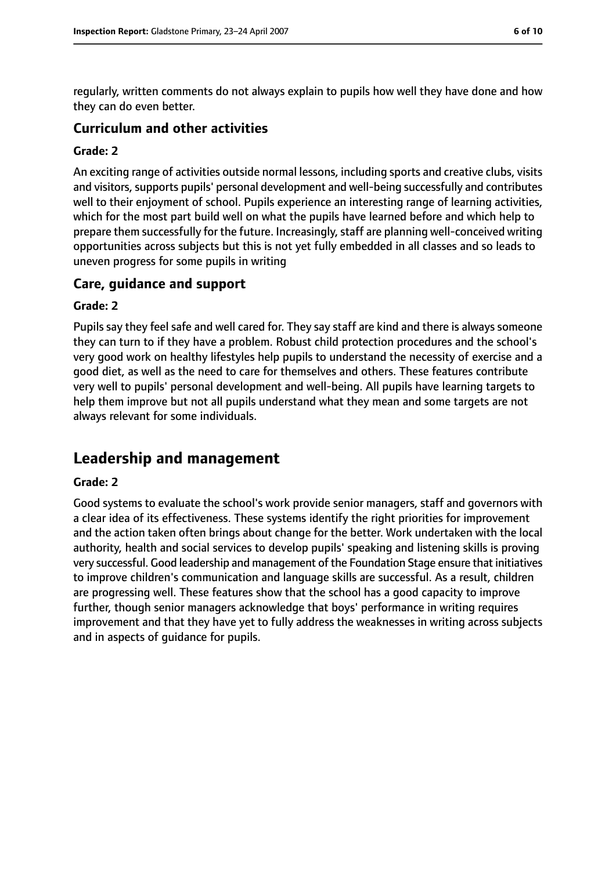regularly, written comments do not always explain to pupils how well they have done and how they can do even better.

#### **Curriculum and other activities**

#### **Grade: 2**

An exciting range of activities outside normal lessons, including sports and creative clubs, visits and visitors, supports pupils' personal development and well-being successfully and contributes well to their enjoyment of school. Pupils experience an interesting range of learning activities, which for the most part build well on what the pupils have learned before and which help to prepare them successfully for the future. Increasingly, staff are planning well-conceived writing opportunities across subjects but this is not yet fully embedded in all classes and so leads to uneven progress for some pupils in writing

#### **Care, guidance and support**

#### **Grade: 2**

Pupils say they feel safe and well cared for. They say staff are kind and there is always someone they can turn to if they have a problem. Robust child protection procedures and the school's very good work on healthy lifestyles help pupils to understand the necessity of exercise and a good diet, as well as the need to care for themselves and others. These features contribute very well to pupils' personal development and well-being. All pupils have learning targets to help them improve but not all pupils understand what they mean and some targets are not always relevant for some individuals.

# **Leadership and management**

#### **Grade: 2**

Good systems to evaluate the school's work provide senior managers, staff and governors with a clear idea of its effectiveness. These systems identify the right priorities for improvement and the action taken often brings about change for the better. Work undertaken with the local authority, health and social services to develop pupils' speaking and listening skills is proving very successful. Good leadership and management of the Foundation Stage ensure that initiatives to improve children's communication and language skills are successful. As a result, children are progressing well. These features show that the school has a good capacity to improve further, though senior managers acknowledge that boys' performance in writing requires improvement and that they have yet to fully address the weaknesses in writing across subjects and in aspects of guidance for pupils.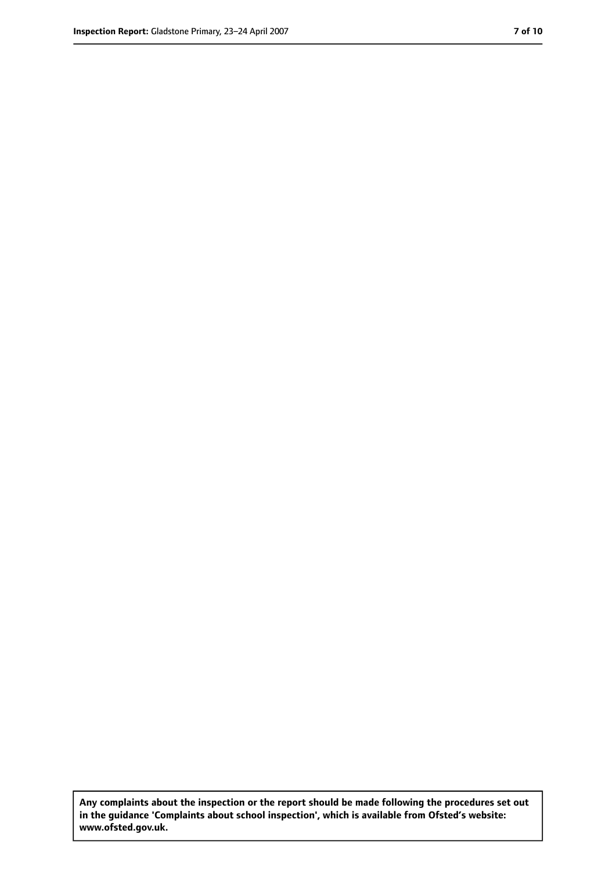**Any complaints about the inspection or the report should be made following the procedures set out in the guidance 'Complaints about school inspection', which is available from Ofsted's website: www.ofsted.gov.uk.**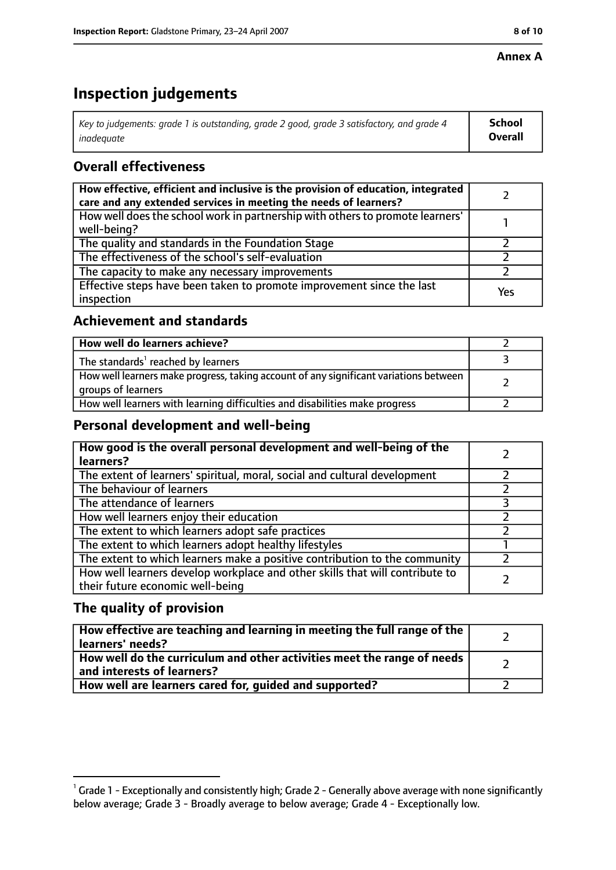#### **Annex A**

# **Inspection judgements**

| Key to judgements: grade 1 is outstanding, grade 2 good, grade 3 satisfactory, and grade 4 | <b>School</b>  |
|--------------------------------------------------------------------------------------------|----------------|
| inadequate                                                                                 | <b>Overall</b> |

# **Overall effectiveness**

| How effective, efficient and inclusive is the provision of education, integrated<br>care and any extended services in meeting the needs of learners? |     |
|------------------------------------------------------------------------------------------------------------------------------------------------------|-----|
| How well does the school work in partnership with others to promote learners'<br>well-being?                                                         |     |
| The quality and standards in the Foundation Stage                                                                                                    |     |
| The effectiveness of the school's self-evaluation                                                                                                    |     |
| The capacity to make any necessary improvements                                                                                                      |     |
| Effective steps have been taken to promote improvement since the last<br>inspection                                                                  | Yes |

# **Achievement and standards**

| How well do learners achieve?                                                                               |  |
|-------------------------------------------------------------------------------------------------------------|--|
| The standards <sup>1</sup> reached by learners                                                              |  |
| How well learners make progress, taking account of any significant variations between<br>groups of learners |  |
| How well learners with learning difficulties and disabilities make progress                                 |  |

## **Personal development and well-being**

| How good is the overall personal development and well-being of the<br>learners?                                  |  |
|------------------------------------------------------------------------------------------------------------------|--|
| The extent of learners' spiritual, moral, social and cultural development                                        |  |
| The behaviour of learners                                                                                        |  |
| The attendance of learners                                                                                       |  |
| How well learners enjoy their education                                                                          |  |
| The extent to which learners adopt safe practices                                                                |  |
| The extent to which learners adopt healthy lifestyles                                                            |  |
| The extent to which learners make a positive contribution to the community                                       |  |
| How well learners develop workplace and other skills that will contribute to<br>their future economic well-being |  |

## **The quality of provision**

| How effective are teaching and learning in meeting the full range of the<br>learners' needs?          |  |
|-------------------------------------------------------------------------------------------------------|--|
| How well do the curriculum and other activities meet the range of needs<br>and interests of learners? |  |
| How well are learners cared for, guided and supported?                                                |  |

 $^1$  Grade 1 - Exceptionally and consistently high; Grade 2 - Generally above average with none significantly below average; Grade 3 - Broadly average to below average; Grade 4 - Exceptionally low.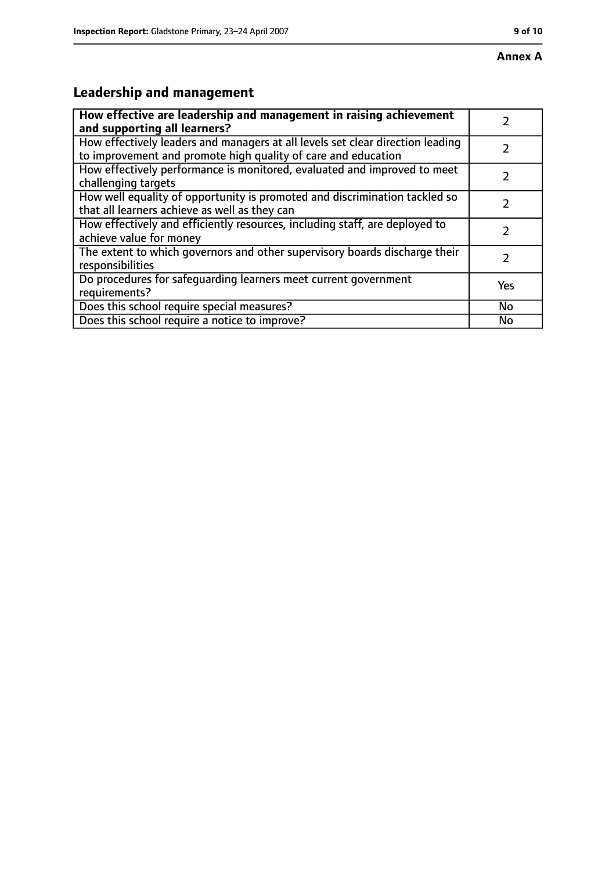# **Leadership and management**

| How effective are leadership and management in raising achievement<br>and supporting all learners?                                              |     |
|-------------------------------------------------------------------------------------------------------------------------------------------------|-----|
| How effectively leaders and managers at all levels set clear direction leading<br>to improvement and promote high quality of care and education |     |
| How effectively performance is monitored, evaluated and improved to meet<br>challenging targets                                                 |     |
| How well equality of opportunity is promoted and discrimination tackled so<br>that all learners achieve as well as they can                     |     |
| How effectively and efficiently resources, including staff, are deployed to<br>achieve value for money                                          | 7   |
| The extent to which governors and other supervisory boards discharge their<br>responsibilities                                                  |     |
| Do procedures for safequarding learners meet current government<br>requirements?                                                                | Yes |
| Does this school require special measures?                                                                                                      | No  |
| Does this school require a notice to improve?                                                                                                   | No  |